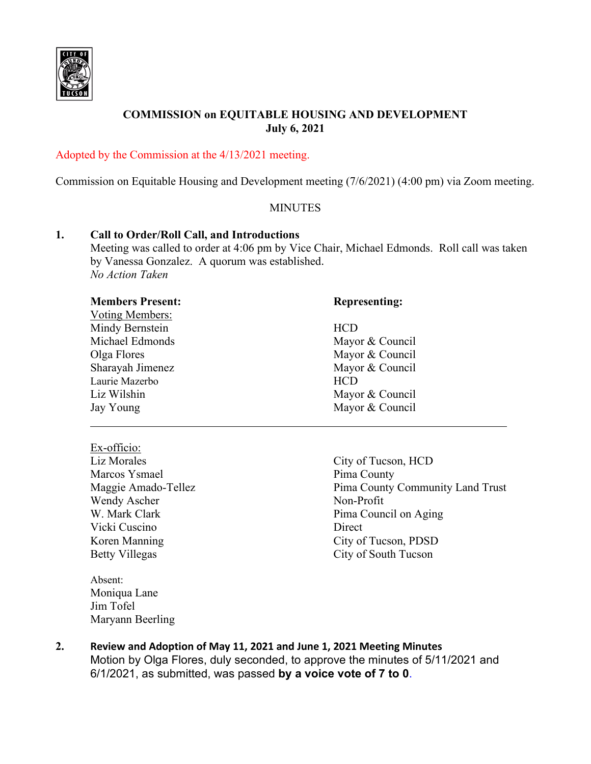

# **COMMISSION on EQUITABLE HOUSING AND DEVELOPMENT July 6, 2021**

#### Adopted by the Commission at the 4/13/2021 meeting.

Commission on Equitable Housing and Development meeting (7/6/2021) (4:00 pm) via Zoom meeting.

#### **MINUTES**

#### **1. Call to Order/Roll Call, and Introductions**

Meeting was called to order at 4:06 pm by Vice Chair, Michael Edmonds. Roll call was taken by Vanessa Gonzalez. A quorum was established. *No Action Taken*

| <b>Members Present:</b> | <b>Representing:</b> |
|-------------------------|----------------------|
| Voting Members:         |                      |
| Mindy Bernstein         | <b>HCD</b>           |
| Michael Edmonds         | Mayor & Council      |
| Olga Flores             | Mayor & Council      |
| Sharayah Jimenez        | Mayor & Council      |
| Laurie Mazerbo          | <b>HCD</b>           |
| Liz Wilshin             | Mayor & Council      |
| Jay Young               | Mayor & Council      |
|                         |                      |

Ex-officio: Liz Morales City of Tucson, HCD Marcos Ysmael Pima County Wendy Ascher Non-Profit Vicki Cuscino Direct

Absent: Moniqua Lane Jim Tofel Maryann Beerling

Maggie Amado-Tellez **Pima County Community Land Trust** W. Mark Clark **Pima Council on Aging** Koren Manning City of Tucson, PDSD Betty Villegas City of South Tucson

**2. Review and Adoption of May 11, 2021 and June 1, 2021 Meeting Minutes** Motion by Olga Flores, duly seconded, to approve the minutes of 5/11/2021 and 6/1/2021, as submitted, was passed **by a voice vote of 7 to 0**.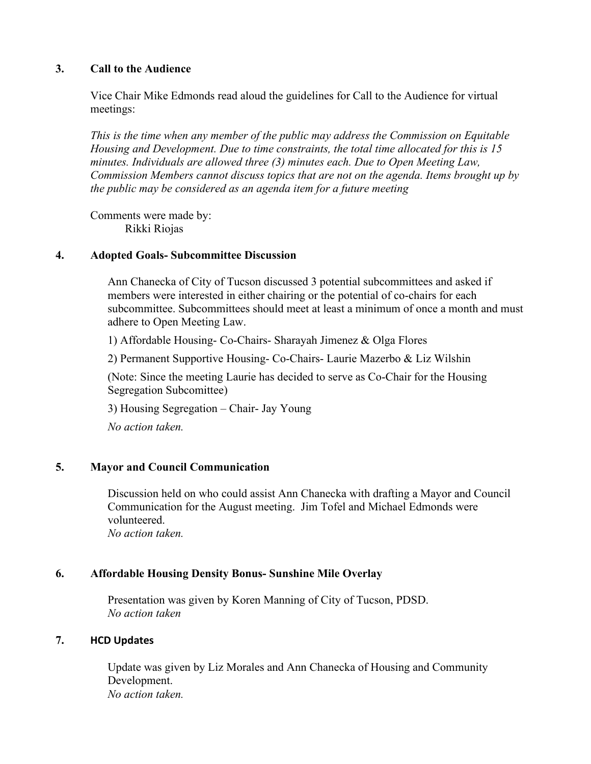#### **3. Call to the Audience**

Vice Chair Mike Edmonds read aloud the guidelines for Call to the Audience for virtual meetings:

*This is the time when any member of the public may address the Commission on Equitable Housing and Development. Due to time constraints, the total time allocated for this is 15 minutes. Individuals are allowed three (3) minutes each. Due to Open Meeting Law, Commission Members cannot discuss topics that are not on the agenda. Items brought up by the public may be considered as an agenda item for a future meeting*

Comments were made by: Rikki Riojas

#### **4. Adopted Goals- Subcommittee Discussion**

Ann Chanecka of City of Tucson discussed 3 potential subcommittees and asked if members were interested in either chairing or the potential of co-chairs for each subcommittee. Subcommittees should meet at least a minimum of once a month and must adhere to Open Meeting Law.

1) Affordable Housing- Co-Chairs- Sharayah Jimenez & Olga Flores

2) Permanent Supportive Housing- Co-Chairs- Laurie Mazerbo & Liz Wilshin

(Note: Since the meeting Laurie has decided to serve as Co-Chair for the Housing Segregation Subcomittee)

3) Housing Segregation – Chair- Jay Young

*No action taken.*

## **5. Mayor and Council Communication**

Discussion held on who could assist Ann Chanecka with drafting a Mayor and Council Communication for the August meeting. Jim Tofel and Michael Edmonds were volunteered.

*No action taken.*

## **6. Affordable Housing Density Bonus- Sunshine Mile Overlay**

Presentation was given by Koren Manning of City of Tucson, PDSD. *No action taken*

## **7. HCD Updates**

Update was given by Liz Morales and Ann Chanecka of Housing and Community Development. *No action taken.*